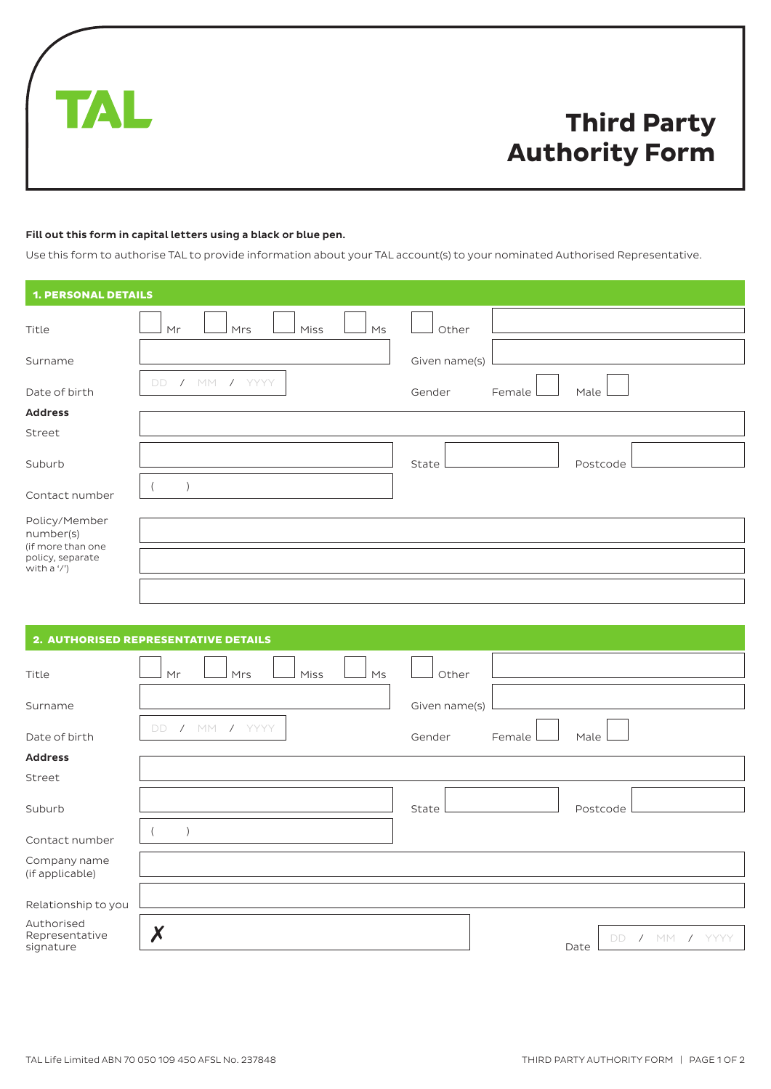

# **Third Party Authority Form**

## Fill out this form in capital letters using a black or blue pen.

Use this form to authorise TAL to provide information about your TAL account(s) to your nominated Authorised Representative.

| <b>1. PERSONAL DETAILS</b>                           |                         |                          |
|------------------------------------------------------|-------------------------|--------------------------|
| Title                                                | Mr<br>Mrs<br>Miss<br>Ms | Other                    |
| Surname                                              |                         | Given name(s)            |
| Date of birth                                        | $/$ MM<br>/ YYYY<br>DD. | Gender<br>Female<br>Male |
| <b>Address</b>                                       |                         |                          |
| Street                                               |                         |                          |
| Suburb                                               |                         | Postcode<br>State        |
| Contact number                                       |                         |                          |
| Policy/Member<br>number(s)                           |                         |                          |
| (if more than one<br>policy, separate<br>with a '/') |                         |                          |
|                                                      |                         |                          |

|                                           | 2. AUTHORISED REPRESENTATIVE DETAILS |                                   |
|-------------------------------------------|--------------------------------------|-----------------------------------|
| Title                                     | Miss<br>Mr<br>Mrs<br>Ms              | Other                             |
| Surname                                   |                                      | Given name(s)                     |
| Date of birth                             | YYYY<br>/ M<br><b>DD</b>             | Gender<br>Female<br>Male          |
| <b>Address</b>                            |                                      |                                   |
| Street                                    |                                      |                                   |
| Suburb                                    |                                      | State<br>Postcode                 |
| Contact number                            |                                      |                                   |
| Company name<br>(if applicable)           |                                      |                                   |
| Relationship to you                       |                                      |                                   |
| Authorised<br>Representative<br>signature |                                      | / YYYY<br><b>MM</b><br>DD<br>Date |